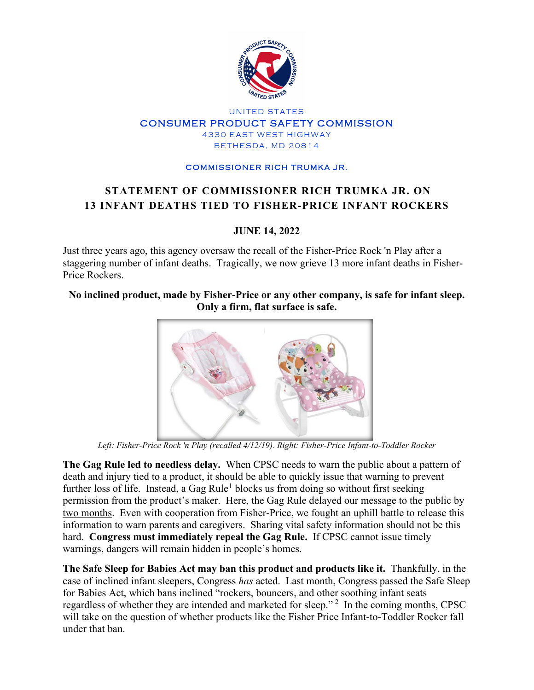

### UNITED STATES CONSUMER PRODUCT SAFETY COMMISSION 4330 EAST WEST HIGHWAY BETHESDA, MD 20814

### COMMISSIONER RICH TRUMKA JR.

# **STATEMENT OF COMMISSIONER RICH TRUMKA JR. ON 13 INFANT DEATHS TIED TO FISHER-PRICE INFANT ROCKERS**

## **JUNE 14, 2022**

Just three years ago, this agency oversaw the recall of the Fisher-Price Rock 'n Play after a staggering number of infant deaths. Tragically, we now grieve 13 more infant deaths in Fisher-Price Rockers.

## **No inclined product, made by Fisher-Price or any other company, is safe for infant sleep. Only a firm, flat surface is safe.**



*Left: Fisher-Price Rock 'n Play (recalled 4/12/19). Right: Fisher-Price Infant-to-Toddler Rocker*

**The Gag Rule led to needless delay.** When CPSC needs to warn the public about a pattern of death and injury tied to a product, it should be able to quickly issue that warning to prevent further loss of life. Instead, a Gag Rule<sup>[1](#page-1-0)</sup> blocks us from doing so without first seeking permission from the product's maker. Here, the Gag Rule delayed our message to the public by two months. Even with cooperation from Fisher-Price, we fought an uphill battle to release this information to warn parents and caregivers. Sharing vital safety information should not be this hard. **Congress must immediately repeal the Gag Rule.** If CPSC cannot issue timely warnings, dangers will remain hidden in people's homes.

**The Safe Sleep for Babies Act may ban this product and products like it.** Thankfully, in the case of inclined infant sleepers, Congress *has* acted. Last month, Congress passed the Safe Sleep for Babies Act, which bans inclined "rockers, bouncers, and other soothing infant seats regardless of whether they are intended and marketed for sleep."<sup>[2](#page-1-1)</sup> In the coming months, CPSC will take on the question of whether products like the Fisher Price Infant-to-Toddler Rocker fall under that ban.